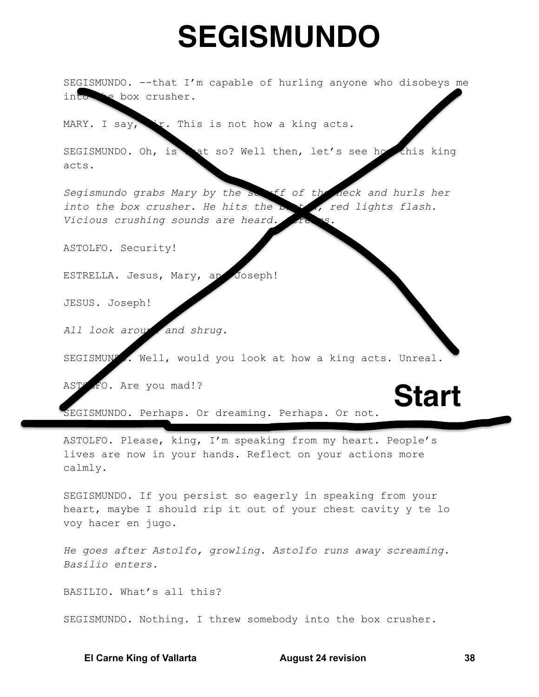## **SEGISMUNDO**

SEGISMUNDO. -- that I'm capable of hurling anyone who disobeys me into e box crusher.

MARY. I say, ir. This is not how a king acts.

SEGISMUNDO. Oh, is at so? Well then, let's see ho this king acts.

Segismundo grabs Mary by the so wff of the neck and hurls her red lights flash. into the box crusher. He hits the b Vicious crushing sounds are heard.

ASTOLFO. Security!

ESTRELLA. Jesus, Mary, Joseph!

JESUS. Joseph!

All look arou . and shrug.

. Well, would you look at how a king acts. Unreal. SEGISMUN

AST FO. Are you mad!? **Start** 

SEGISMUNDO. Perhaps. Or dreaming. Perhaps. Or not.

ASTOLFO. Please, king, I'm speaking from my heart. People's lives are now in your hands. Reflect on your actions more calmly.

SEGISMUNDO. If you persist so eagerly in speaking from your heart, maybe I should rip it out of your chest cavity y te lo voy hacer en jugo.

He goes after Astolfo, growling. Astolfo runs away screaming. Basilio enters.

BASILIO. What's all this?

SEGISMUNDO. Nothing. I threw somebody into the box crusher.

**August 24 revision**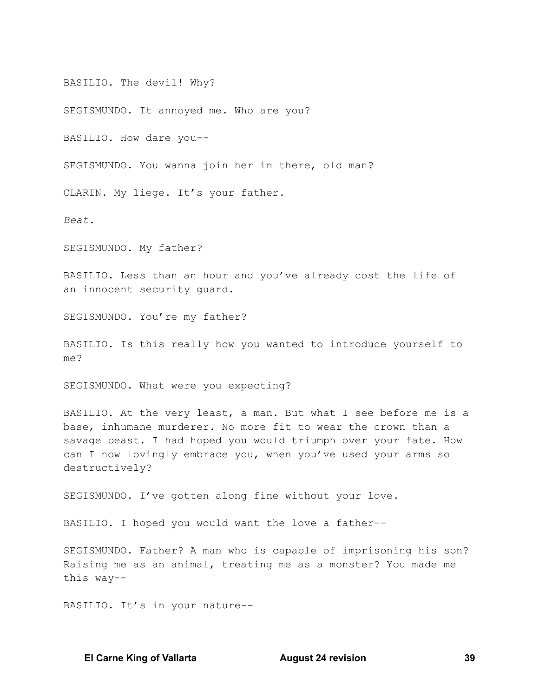BASILIO. The devil! Why?

SEGISMUNDO. It annoyed me. Who are you?

BASILIO. How dare you--

SEGISMUNDO. You wanna join her in there, old man?

CLARIN. My liege. It's your father.

Beat.

SEGISMUNDO. My father?

BASILIO. Less than an hour and you've already cost the life of an innocent security quard.

SEGISMUNDO. You're my father?

BASILIO. Is this really how you wanted to introduce yourself to me?

SEGISMUNDO. What were you expecting?

BASILIO. At the very least, a man. But what I see before me is a base, inhumane murderer. No more fit to wear the crown than a savage beast. I had hoped you would triumph over your fate. How can I now lovingly embrace you, when you've used your arms so destructively?

SEGISMUNDO. I've gotten along fine without your love.

BASILIO. I hoped you would want the love a father--

SEGISMUNDO. Father? A man who is capable of imprisoning his son? Raising me as an animal, treating me as a monster? You made me this way--

BASILIO. It's in your nature--

**El Carne King of Vallarta** 

**August 24 revision**